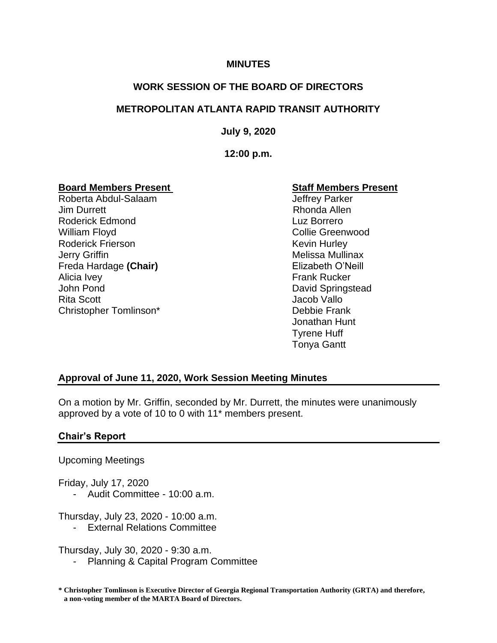#### **MINUTES**

# **WORK SESSION OF THE BOARD OF DIRECTORS**

## **METROPOLITAN ATLANTA RAPID TRANSIT AUTHORITY**

**July 9, 2020**

**12:00 p.m.**

# **Board Members Present Constrainer Staff Members Present**

Roberta Abdul-Salaam and Jeffrey Parker Jim Durrett **Rhonda** Allen Roderick Edmond Luz Borrero William Floyd **Collie Greenwood** Roderick Frierson **Kevin Hurley** Kevin Hurley Jerry Griffin **Melissa Mullinax** Melissa Mullinax Freda Hardage (Chair) **Elizabeth O'Neill** Alicia Ivey **Alicia Ivey Frank Rucker** John Pond **David Springstead** Rita Scott **Vallo** Vallo Christopher Tomlinson\* Debbie Frank

Jonathan Hunt Tyrene Huff Tonya Gantt

## **Approval of June 11, 2020, Work Session Meeting Minutes**

On a motion by Mr. Griffin, seconded by Mr. Durrett, the minutes were unanimously approved by a vote of 10 to 0 with 11\* members present.

## **Chair's Report**

Upcoming Meetings

Friday, July 17, 2020

- Audit Committee - 10:00 a.m.

Thursday, July 23, 2020 - 10:00 a.m.

- External Relations Committee

Thursday, July 30, 2020 - 9:30 a.m.

Planning & Capital Program Committee

**\* Christopher Tomlinson is Executive Director of Georgia Regional Transportation Authority (GRTA) and therefore, a non-voting member of the MARTA Board of Directors.**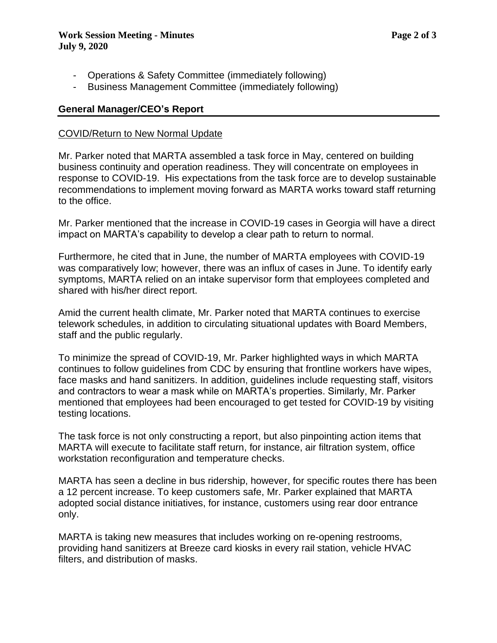- Operations & Safety Committee (immediately following)
- Business Management Committee (immediately following)

### **General Manager/CEO's Report**

#### COVID/Return to New Normal Update

Mr. Parker noted that MARTA assembled a task force in May, centered on building business continuity and operation readiness. They will concentrate on employees in response to COVID-19. His expectations from the task force are to develop sustainable recommendations to implement moving forward as MARTA works toward staff returning to the office.

Mr. Parker mentioned that the increase in COVID-19 cases in Georgia will have a direct impact on MARTA's capability to develop a clear path to return to normal.

Furthermore, he cited that in June, the number of MARTA employees with COVID-19 was comparatively low; however, there was an influx of cases in June. To identify early symptoms, MARTA relied on an intake supervisor form that employees completed and shared with his/her direct report.

Amid the current health climate, Mr. Parker noted that MARTA continues to exercise telework schedules, in addition to circulating situational updates with Board Members, staff and the public regularly.

To minimize the spread of COVID-19, Mr. Parker highlighted ways in which MARTA continues to follow guidelines from CDC by ensuring that frontline workers have wipes, face masks and hand sanitizers. In addition, guidelines include requesting staff, visitors and contractors to wear a mask while on MARTA's properties. Similarly, Mr. Parker mentioned that employees had been encouraged to get tested for COVID-19 by visiting testing locations.

The task force is not only constructing a report, but also pinpointing action items that MARTA will execute to facilitate staff return, for instance, air filtration system, office workstation reconfiguration and temperature checks.

MARTA has seen a decline in bus ridership, however, for specific routes there has been a 12 percent increase. To keep customers safe, Mr. Parker explained that MARTA adopted social distance initiatives, for instance, customers using rear door entrance only.

MARTA is taking new measures that includes working on re-opening restrooms, providing hand sanitizers at Breeze card kiosks in every rail station, vehicle HVAC filters, and distribution of masks.